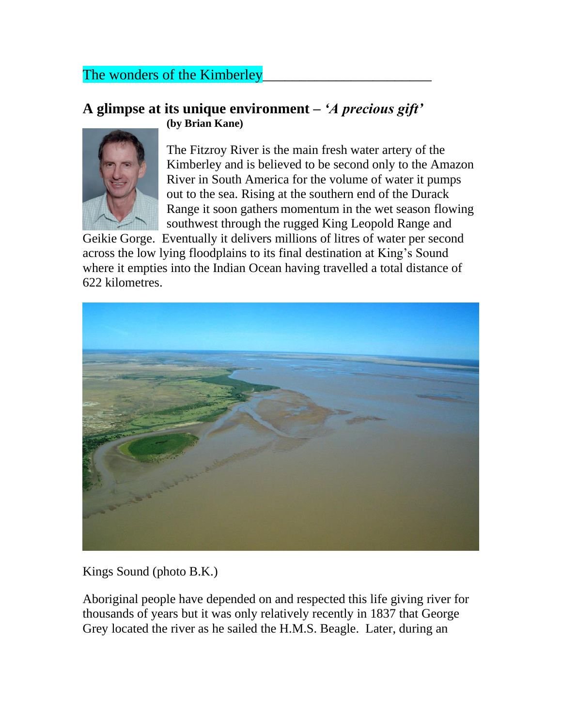## The wonders of the Kimberley

## **A glimpse at its unique environment –** *'A precious gift'* **(by Brian Kane)**



The Fitzroy River is the main fresh water artery of the Kimberley and is believed to be second only to the Amazon River in South America for the volume of water it pumps out to the sea. Rising at the southern end of the Durack Range it soon gathers momentum in the wet season flowing southwest through the rugged King Leopold Range and

Geikie Gorge. Eventually it delivers millions of litres of water per second across the low lying floodplains to its final destination at King's Sound where it empties into the Indian Ocean having travelled a total distance of 622 kilometres.



Kings Sound (photo B.K.)

Aboriginal people have depended on and respected this life giving river for thousands of years but it was only relatively recently in 1837 that George Grey located the river as he sailed the H.M.S. Beagle. Later, during an